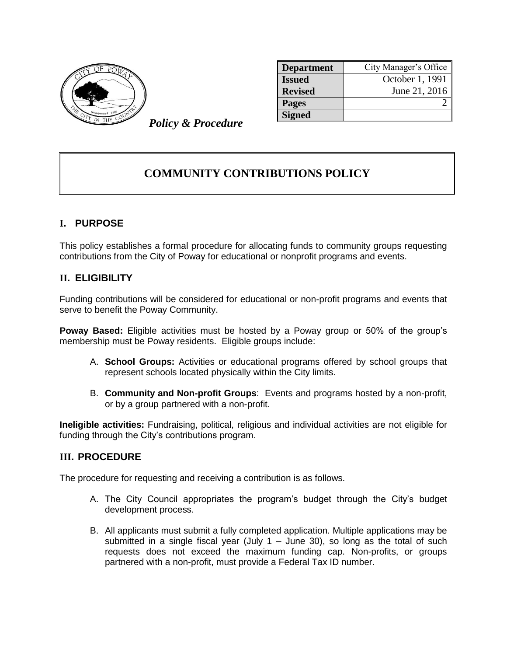

| <b>Department</b> | City Manager's Office |
|-------------------|-----------------------|
| <b>Issued</b>     | October 1, 1991       |
| <b>Revised</b>    | June 21, 2016         |
| <b>Pages</b>      |                       |
| <b>Signed</b>     |                       |

*Policy & Procedure*

## **COMMUNITY CONTRIBUTIONS POLICY**

## **I. PURPOSE**

This policy establishes a formal procedure for allocating funds to community groups requesting contributions from the City of Poway for educational or nonprofit programs and events.

## **II. ELIGIBILITY**

Funding contributions will be considered for educational or non-profit programs and events that serve to benefit the Poway Community.

**Poway Based:** Eligible activities must be hosted by a Poway group or 50% of the group's membership must be Poway residents. Eligible groups include:

- A. **School Groups:** Activities or educational programs offered by school groups that represent schools located physically within the City limits.
- B. **Community and Non-profit Groups**: Events and programs hosted by a non-profit, or by a group partnered with a non-profit.

**Ineligible activities:** Fundraising, political, religious and individual activities are not eligible for funding through the City's contributions program.

## **III. PROCEDURE**

The procedure for requesting and receiving a contribution is as follows.

- A. The City Council appropriates the program's budget through the City's budget development process.
- B. All applicants must submit a fully completed application. Multiple applications may be submitted in a single fiscal year (July  $1 -$  June 30), so long as the total of such requests does not exceed the maximum funding cap. Non-profits, or groups partnered with a non-profit, must provide a Federal Tax ID number.